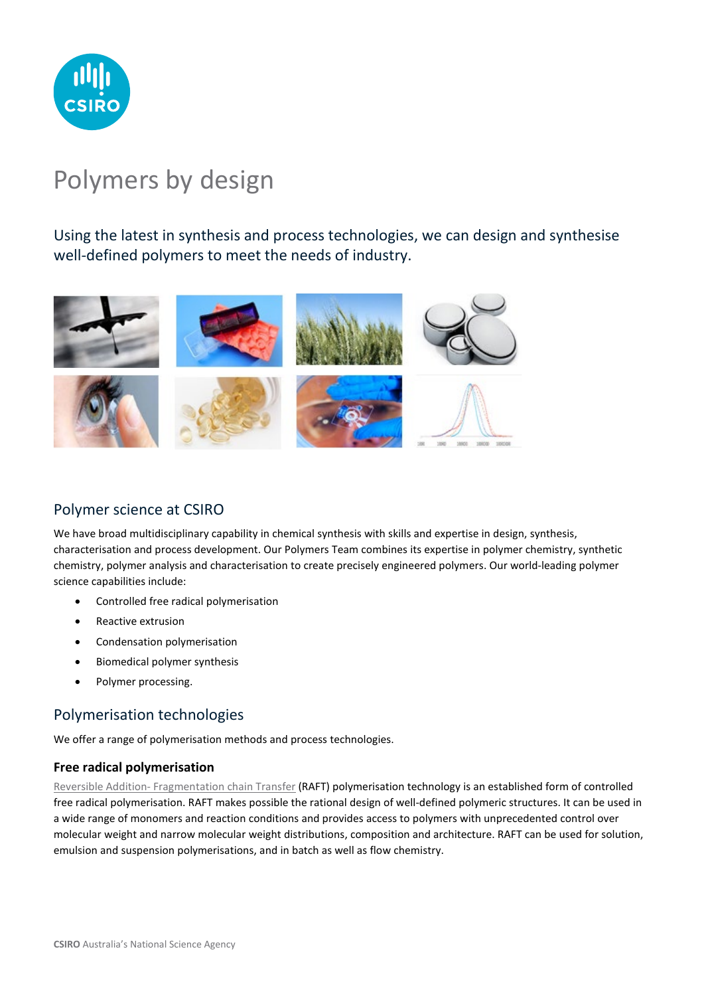

# Polymers by design

Using the latest in synthesis and process technologies, we can design and synthesise well-defined polymers to meet the needs of industry.



# Polymer science at CSIRO

We have broad multidisciplinary capability in chemical synthesis with skills and expertise in design, synthesis, characterisation and process development. Our Polymers Team combines its expertise in polymer chemistry, synthetic chemistry, polymer analysis and characterisation to create precisely engineered polymers. Our world-leading polymer science capabilities include:

- Controlled free radical polymerisation
- Reactive extrusion
- Condensation polymerisation
- Biomedical polymer synthesis
- Polymer processing.

# Polymerisation technologies

We offer a range of polymerisation methods and process technologies.

#### **Free radical polymerisation**

Reversible Addition- [Fragmentation chain Transfer](https://www.csiro.au/en/research/production/materials/raft) (RAFT) polymerisation technology is an established form of controlled free radical polymerisation. RAFT makes possible the rational design of well-defined polymeric structures. It can be used in a wide range of monomers and reaction conditions and provides access to polymers with unprecedented control over molecular weight and narrow molecular weight distributions, composition and architecture. RAFT can be used for solution, emulsion and suspension polymerisations, and in batch as well as flow chemistry.